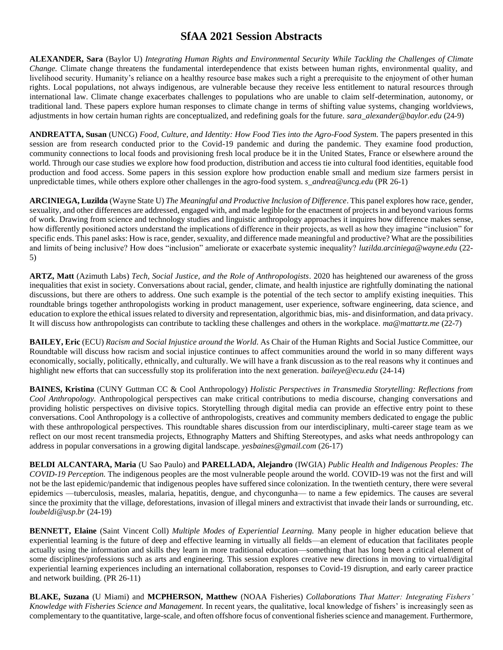**ALEXANDER, Sara** (Baylor U) *Integrating Human Rights and Environmental Security While Tackling the Challenges of Climate Change.* Climate change threatens the fundamental interdependence that exists between human rights, environmental quality, and livelihood security. Humanity's reliance on a healthy resource base makes such a right a prerequisite to the enjoyment of other human rights. Local populations, not always indigenous, are vulnerable because they receive less entitlement to natural resources through international law. Climate change exacerbates challenges to populations who are unable to claim self-determination, autonomy, or traditional land. These papers explore human responses to climate change in terms of shifting value systems, changing worldviews, adjustments in how certain human rights are conceptualized, and redefining goals for the future. *sara\_alexander@baylor.edu* (24-9)

**ANDREATTA, Susan** (UNCG) *Food, Culture, and Identity: How Food Ties into the Agro-Food System.* The papers presented in this session are from research conducted prior to the Covid-19 pandemic and during the pandemic. They examine food production, community connections to local foods and provisioning fresh local produce be it in the United States, France or elsewhere around the world. Through our case studies we explore how food production, distribution and access tie into cultural food identities, equitable food production and food access. Some papers in this session explore how production enable small and medium size farmers persist in unpredictable times, while others explore other challenges in the agro-food system. *s\_andrea@uncg.edu* (PR 26-1)

**ARCINIEGA, Luzilda** (Wayne State U) *The Meaningful and Productive Inclusion of Difference*. This panel explores how race, gender, sexuality, and other differences are addressed, engaged with, and made legible for the enactment of projects in and beyond various forms of work. Drawing from science and technology studies and linguistic anthropology approaches it inquires how difference makes sense, how differently positioned actors understand the implications of difference in their projects, as well as how they imagine "inclusion" for specific ends. This panel asks: How is race, gender, sexuality, and difference made meaningful and productive? What are the possibilities and limits of being inclusive? How does "inclusion" ameliorate or exacerbate systemic inequality? *luzilda.arciniega@wayne.edu* (22- 5)

**ARTZ, Matt** (Azimuth Labs) *Tech, Social Justice, and the Role of Anthropologists*. 2020 has heightened our awareness of the gross inequalities that exist in society. Conversations about racial, gender, climate, and health injustice are rightfully dominating the national discussions, but there are others to address. One such example is the potential of the tech sector to amplify existing inequities. This roundtable brings together anthropologists working in product management, user experience, software engineering, data science, and education to explore the ethical issues related to diversity and representation, algorithmic bias, mis- and disinformation, and data privacy. It will discuss how anthropologists can contribute to tackling these challenges and others in the workplace. *ma@mattartz.me* (22-7)

**BAILEY, Eric** (ECU) *Racism and Social Injustice around the World*. As Chair of the Human Rights and Social Justice Committee, our Roundtable will discuss how racism and social injustice continues to affect communities around the world in so many different ways economically, socially, politically, ethnically, and culturally. We will have a frank discussion as to the real reasons why it continues and highlight new efforts that can successfully stop its proliferation into the next generation. *baileye@ecu.edu* (24-14)

**BAINES, Kristina** (CUNY Guttman CC & Cool Anthropology) *Holistic Perspectives in Transmedia Storytelling: Reflections from Cool Anthropology.* Anthropological perspectives can make critical contributions to media discourse, changing conversations and providing holistic perspectives on divisive topics. Storytelling through digital media can provide an effective entry point to these conversations. Cool Anthropology is a collective of anthropologists, creatives and community members dedicated to engage the public with these anthropological perspectives. This roundtable shares discussion from our interdisciplinary, multi-career stage team as we reflect on our most recent transmedia projects, Ethnography Matters and Shifting Stereotypes, and asks what needs anthropology can address in popular conversations in a growing digital landscape. *yesbaines@gmail.com* (26-17)

**BELDI ALCANTARA, Maria** (U Sao Paulo) and **PARELLADA, Alejandro** (IWGIA) *Public Health and Indigenous Peoples: The COVID-19 Perception.* The indigenous peoples are the most vulnerable people around the world. COVID-19 was not the first and will not be the last epidemic/pandemic that indigenous peoples have suffered since colonization. In the twentieth century, there were several epidemics —tuberculosis, measles, malaria, hepatitis, dengue, and chycongunha— to name a few epidemics. The causes are several since the proximity that the village, deforestations, invasion of illegal miners and extractivist that invade their lands or surrounding, etc. *loubeldi@usp.br* (24-19)

**BENNETT, Elaine** (Saint Vincent Coll) *Multiple Modes of Experiential Learning.* Many people in higher education believe that experiential learning is the future of deep and effective learning in virtually all fields—an element of education that facilitates people actually using the information and skills they learn in more traditional education—something that has long been a critical element of some disciplines/professions such as arts and engineering. This session explores creative new directions in moving to virtual/digital experiential learning experiences including an international collaboration, responses to Covid-19 disruption, and early career practice and network building. (PR 26-11)

**BLAKE, Suzana** (U Miami) and **MCPHERSON, Matthew** (NOAA Fisheries) *Collaborations That Matter: Integrating Fishers' Knowledge with Fisheries Science and Management.* In recent years, the qualitative, local knowledge of fishers' is increasingly seen as complementary to the quantitative, large-scale, and often offshore focus of conventional fisheries science and management. Furthermore,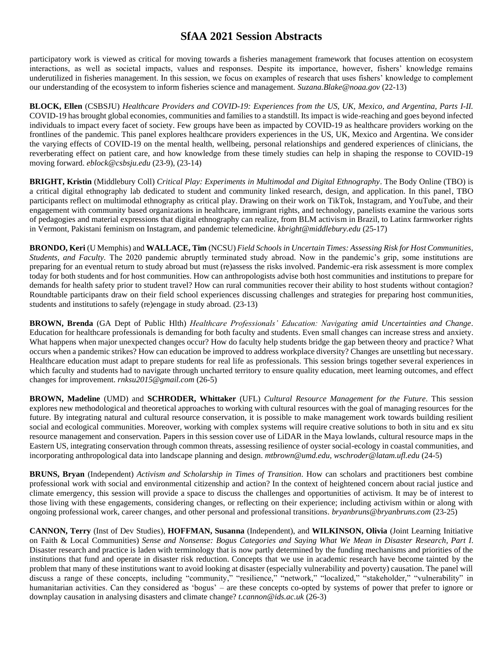participatory work is viewed as critical for moving towards a fisheries management framework that focuses attention on ecosystem interactions, as well as societal impacts, values and responses. Despite its importance, however, fishers' knowledge remains underutilized in fisheries management. In this session, we focus on examples of research that uses fishers' knowledge to complement our understanding of the ecosystem to inform fisheries science and management. *Suzana.Blake@noaa.gov* (22-13)

**BLOCK, Ellen** (CSBSJU) *Healthcare Providers and COVID-19: Experiences from the US, UK, Mexico, and Argentina, Parts I-II.*  COVID-19 has brought global economies, communities and families to a standstill. Its impact is wide-reaching and goes beyond infected individuals to impact every facet of society. Few groups have been as impacted by COVID-19 as healthcare providers working on the frontlines of the pandemic. This panel explores healthcare providers experiences in the US, UK, Mexico and Argentina. We consider the varying effects of COVID-19 on the mental health, wellbeing, personal relationships and gendered experiences of clinicians, the reverberating effect on patient care, and how knowledge from these timely studies can help in shaping the response to COVID-19 moving forward. *eblock@csbsju.edu* (23-9), (23-14)

**BRIGHT, Kristin** (Middlebury Coll) *Critical Play: Experiments in Multimodal and Digital Ethnography*. The Body Online (TBO) is a critical digital ethnography lab dedicated to student and community linked research, design, and application. In this panel, TBO participants reflect on multimodal ethnography as critical play. Drawing on their work on TikTok, Instagram, and YouTube, and their engagement with community based organizations in healthcare, immigrant rights, and technology, panelists examine the various sorts of pedagogies and material expressions that digital ethnography can realize, from BLM activism in Brazil, to Latinx farmworker rights in Vermont, Pakistani feminism on Instagram, and pandemic telemedicine. *kbright@middlebury.edu* (25-17)

**BRONDO, Keri** (U Memphis) and **WALLACE, Tim** (NCSU) *Field Schools in Uncertain Times: Assessing Risk for Host Communities, Students, and Faculty.* The 2020 pandemic abruptly terminated study abroad. Now in the pandemic's grip, some institutions are preparing for an eventual return to study abroad but must (re)assess the risks involved. Pandemic-era risk assessment is more complex today for both students and for host communities. How can anthropologists advise both host communities and institutions to prepare for demands for health safety prior to student travel? How can rural communities recover their ability to host students without contagion? Roundtable participants draw on their field school experiences discussing challenges and strategies for preparing host communities, students and institutions to safely (re)engage in study abroad. (23-13)

**BROWN, Brenda** (GA Dept of Public Hlth) *Healthcare Professionals' Education: Navigating amid Uncertainties and Change*. Education for healthcare professionals is demanding for both faculty and students. Even small changes can increase stress and anxiety. What happens when major unexpected changes occur? How do faculty help students bridge the gap between theory and practice? What occurs when a pandemic strikes? How can education be improved to address workplace diversity? Changes are unsettling but necessary. Healthcare education must adapt to prepare students for real life as professionals. This session brings together several experiences in which faculty and students had to navigate through uncharted territory to ensure quality education, meet learning outcomes, and effect changes for improvement. *rnksu2015@gmail.com* (26-5)

**BROWN, Madeline** (UMD) and **SCHRODER, Whittaker** (UFL) *Cultural Resource Management for the Future*. This session explores new methodological and theoretical approaches to working with cultural resources with the goal of managing resources for the future. By integrating natural and cultural resource conservation, it is possible to make management work towards building resilient social and ecological communities. Moreover, working with complex systems will require creative solutions to both in situ and ex situ resource management and conservation. Papers in this session cover use of LiDAR in the Maya lowlands, cultural resource maps in the Eastern US, integrating conservation through common threats, assessing resilience of oyster social-ecology in coastal communities, and incorporating anthropological data into landscape planning and design. *mtbrown@umd.edu, wschroder@latam.ufl.edu* (24-5)

**BRUNS, Bryan** (Independent) *Activism and Scholarship in Times of Transition*. How can scholars and practitioners best combine professional work with social and environmental citizenship and action? In the context of heightened concern about racial justice and climate emergency, this session will provide a space to discuss the challenges and opportunities of activism. It may be of interest to those living with these engagements, considering changes, or reflecting on their experience; including activism within or along with ongoing professional work, career changes, and other personal and professional transitions. *bryanbruns@bryanbruns.com* (23-25)

**CANNON, Terry** (Inst of Dev Studies), **HOFFMAN, Susanna** (Independent), and **WILKINSON, Olivia** (Joint Learning Initiative on Faith & Local Communities) *Sense and Nonsense: Bogus Categories and Saying What We Mean in Disaster Research, Part I*. Disaster research and practice is laden with terminology that is now partly determined by the funding mechanisms and priorities of the institutions that fund and operate in disaster risk reduction. Concepts that we use in academic research have become tainted by the problem that many of these institutions want to avoid looking at disaster (especially vulnerability and poverty) causation. The panel will discuss a range of these concepts, including "community," "resilience," "network," "localized," "stakeholder," "vulnerability" in humanitarian activities. Can they considered as 'bogus' – are these concepts co-opted by systems of power that prefer to ignore or downplay causation in analysing disasters and climate change? *t.cannon@ids.ac.uk* (26-3)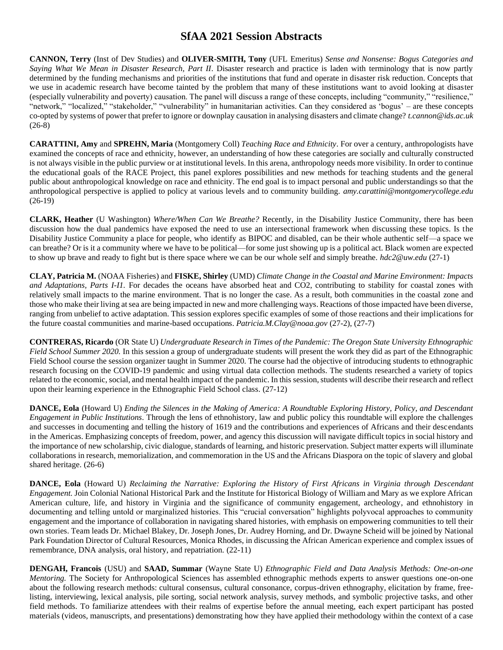**CANNON, Terry** (Inst of Dev Studies) and **OLIVER-SMITH, Tony** (UFL Emeritus) *Sense and Nonsense: Bogus Categories and Saying What We Mean in Disaster Research, Part II*. Disaster research and practice is laden with terminology that is now partly determined by the funding mechanisms and priorities of the institutions that fund and operate in disaster risk reduction. Concepts that we use in academic research have become tainted by the problem that many of these institutions want to avoid looking at disaster (especially vulnerability and poverty) causation. The panel will discuss a range of these concepts, including "community," "resilience," "network," "localized," "stakeholder," "vulnerability" in humanitarian activities. Can they considered as 'bogus' – are these concepts co-opted by systems of power that prefer to ignore or downplay causation in analysing disasters and climate change? *t.cannon@ids.ac.uk* (26-8)

**CARATTINI, Amy** and **SPREHN, Maria** (Montgomery Coll) *Teaching Race and Ethnicity*. For over a century, anthropologists have examined the concepts of race and ethnicity, however, an understanding of how these categories are socially and culturally constructed is not always visible in the public purview or at institutional levels. In this arena, anthropology needs more visibility. In order to continue the educational goals of the RACE Project, this panel explores possibilities and new methods for teaching students and the general public about anthropological knowledge on race and ethnicity. The end goal is to impact personal and public understandings so that the anthropological perspective is applied to policy at various levels and to community building. *amy.carattini@montgomerycollege.edu* (26-19)

**CLARK, Heather** (U Washington) *Where/When Can We Breathe?* Recently, in the Disability Justice Community, there has been discussion how the dual pandemics have exposed the need to use an intersectional framework when discussing these topics. Is the Disability Justice Community a place for people, who identify as BIPOC and disabled, can be their whole authentic self—a space we can breathe? Or is it a community where we have to be political—for some just showing up is a political act. Black women are expected to show up brave and ready to fight but is there space where we can be our whole self and simply breathe. *hdc2@uw.edu* (27-1)

**CLAY, Patricia M.** (NOAA Fisheries) and **FISKE, Shirley** (UMD) *Climate Change in the Coastal and Marine Environment: Impacts and Adaptations, Parts I-I1.* For decades the oceans have absorbed heat and CO2, contributing to stability for coastal zones with relatively small impacts to the marine environment. That is no longer the case. As a result, both communities in the coastal zone and those who make their living at sea are being impacted in new and more challenging ways. Reactions of those impacted have been diverse, ranging from unbelief to active adaptation. This session explores specific examples of some of those reactions and their implications for the future coastal communities and marine-based occupations. *Patricia.M.Clay@noaa.gov* (27-2), (27-7)

**CONTRERAS, Ricardo** (OR State U) *Undergraduate Research in Times of the Pandemic: The Oregon State University Ethnographic Field School Summer 2020.* In this session a group of undergraduate students will present the work they did as part of the Ethnographic Field School course the session organizer taught in Summer 2020. The course had the objective of introducing students to ethnographic research focusing on the COVID-19 pandemic and using virtual data collection methods. The students researched a variety of topics related to the economic, social, and mental health impact of the pandemic. In this session, students will describe their research and reflect upon their learning experience in the Ethnographic Field School class. (27-12)

**DANCE, Eola** (Howard U) *Ending the Silences in the Making of America: A Roundtable Exploring History, Policy, and Descendant Engagement in Public Institutions.* Through the lens of ethnohistory, law and public policy this roundtable will explore the challenges and successes in documenting and telling the history of 1619 and the contributions and experiences of Africans and their descendants in the Americas. Emphasizing concepts of freedom, power, and agency this discussion will navigate difficult topics in social history and the importance of new scholarship, civic dialogue, standards of learning, and historic preservation. Subject matter experts will illuminate collaborations in research, memorialization, and commemoration in the US and the Africans Diaspora on the topic of slavery and global shared heritage. (26-6)

**DANCE, Eola** (Howard U) *Reclaiming the Narrative: Exploring the History of First Africans in Virginia through Descendant Engagement.* Join Colonial National Historical Park and the Institute for Historical Biology of William and Mary as we explore African American culture, life, and history in Virginia and the significance of community engagement, archeology, and ethnohistory in documenting and telling untold or marginalized histories. This "crucial conversation" highlights polyvocal approaches to community engagement and the importance of collaboration in navigating shared histories, with emphasis on empowering communities to tell their own stories. Team leads Dr. Michael Blakey, Dr. Joseph Jones, Dr. Audrey Horning, and Dr. Dwayne Scheid will be joined by National Park Foundation Director of Cultural Resources, Monica Rhodes, in discussing the African American experience and complex issues of remembrance, DNA analysis, oral history, and repatriation. (22-11)

**DENGAH, Francois** (USU) and **SAAD, Summar** (Wayne State U) *Ethnographic Field and Data Analysis Methods: One-on-one Mentoring.* The Society for Anthropological Sciences has assembled ethnographic methods experts to answer questions one-on-one about the following research methods: cultural consensus, cultural consonance, corpus-driven ethnography, elicitation by frame, freelisting, interviewing, lexical analysis, pile sorting, social network analysis, survey methods, and symbolic projective tasks, and other field methods. To familiarize attendees with their realms of expertise before the annual meeting, each expert participant has posted materials (videos, manuscripts, and presentations) demonstrating how they have applied their methodology within the context of a case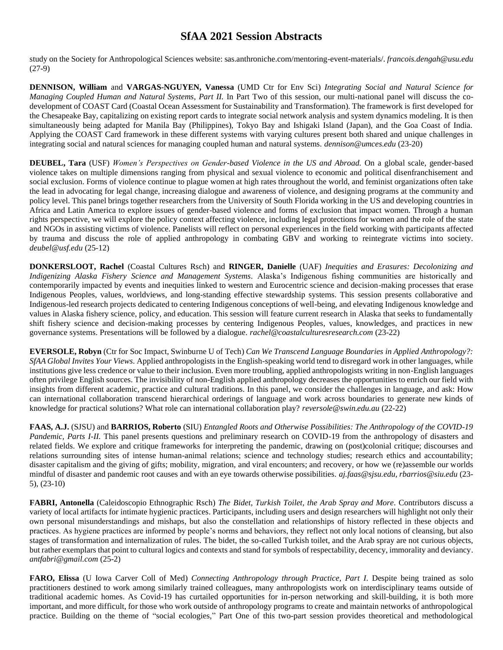study on the Society for Anthropological Sciences website: sas.anthroniche.com/mentoring-event-materials/. *francois.dengah@usu.edu* (27-9)

**DENNISON, William** and **VARGAS-NGUYEN, Vanessa** (UMD Ctr for Env Sci) *Integrating Social and Natural Science for Managing Coupled Human and Natural Systems, Part II.* In Part Two of this session, our multi-national panel will discuss the codevelopment of COAST Card (Coastal Ocean Assessment for Sustainability and Transformation). The framework is first developed for the Chesapeake Bay, capitalizing on existing report cards to integrate social network analysis and system dynamics modeling. It is then simultaneously being adapted for Manila Bay (Philippines), Tokyo Bay and Ishigaki Island (Japan), and the Goa Coast of India. Applying the COAST Card framework in these different systems with varying cultures present both shared and unique challenges in integrating social and natural sciences for managing coupled human and natural systems. *dennison@umces.edu* (23-20)

**DEUBEL, Tara** (USF) *Women's Perspectives on Gender-based Violence in the US and Abroad.* On a global scale, gender-based violence takes on multiple dimensions ranging from physical and sexual violence to economic and political disenfranchisement and social exclusion. Forms of violence continue to plague women at high rates throughout the world, and feminist organizations often take the lead in advocating for legal change, increasing dialogue and awareness of violence, and designing programs at the community and policy level. This panel brings together researchers from the University of South Florida working in the US and developing countries in Africa and Latin America to explore issues of gender-based violence and forms of exclusion that impact women. Through a human rights perspective, we will explore the policy context affecting violence, including legal protections for women and the role of the state and NGOs in assisting victims of violence. Panelists will reflect on personal experiences in the field working with participants affected by trauma and discuss the role of applied anthropology in combating GBV and working to reintegrate victims into society. *deubel@usf.edu* (25-12)

**DONKERSLOOT, Rachel** (Coastal Cultures Rsch) and **RINGER, Danielle** (UAF) *Inequities and Erasures: Decolonizing and Indigenizing Alaska Fishery Science and Management Systems.* Alaska's Indigenous fishing communities are historically and contemporarily impacted by events and inequities linked to western and Eurocentric science and decision-making processes that erase Indigenous Peoples, values, worldviews, and long-standing effective stewardship systems. This session presents collaborative and Indigenous-led research projects dedicated to centering Indigenous conceptions of well-being, and elevating Indigenous knowledge and values in Alaska fishery science, policy, and education. This session will feature current research in Alaska that seeks to fundamentally shift fishery science and decision-making processes by centering Indigenous Peoples, values, knowledges, and practices in new governance systems. Presentations will be followed by a dialogue. *rachel@coastalculturesresearch.com* (23-22)

**EVERSOLE, Robyn** (Ctr for Soc Impact, Swinburne U of Tech) *Can We Transcend Language Boundaries in Applied Anthropology?: SfAA Global Invites Your Views.* Applied anthropologists in the English-speaking world tend to disregard work in other languages, while institutions give less credence or value to their inclusion. Even more troubling, applied anthropologists writing in non-English languages often privilege English sources. The invisibility of non-English applied anthropology decreases the opportunities to enrich our field with insights from different academic, practice and cultural traditions. In this panel, we consider the challenges in language, and ask: How can international collaboration transcend hierarchical orderings of language and work across boundaries to generate new kinds of knowledge for practical solutions? What role can international collaboration play? *reversole@swin.edu.au* (22-22)

**FAAS, A.J.** (SJSU) and **BARRIOS, Roberto** (SIU) *Entangled Roots and Otherwise Possibilities: The Anthropology of the COVID-19 Pandemic, Parts I-II.* This panel presents questions and preliminary research on COVID-19 from the anthropology of disasters and related fields. We explore and critique frameworks for interpreting the pandemic, drawing on (post)colonial critique; discourses and relations surrounding sites of intense human-animal relations; science and technology studies; research ethics and accountability; disaster capitalism and the giving of gifts; mobility, migration, and viral encounters; and recovery, or how we (re)assemble our worlds mindful of disaster and pandemic root causes and with an eye towards otherwise possibilities. *aj.faas@sjsu.edu, rbarrios@siu.edu* (23- 5), (23-10)

**FABRI, Antonella** (Caleidoscopio Ethnographic Rsch) *The Bidet, Turkish Toilet, the Arab Spray and More.* Contributors discuss a variety of local artifacts for intimate hygienic practices. Participants, including users and design researchers will highlight not only their own personal misunderstandings and mishaps, but also the constellation and relationships of history reflected in these objects and practices. As hygiene practices are informed by people's norms and behaviors, they reflect not only local notions of cleansing, but also stages of transformation and internalization of rules. The bidet, the so-called Turkish toilet, and the Arab spray are not curious objects, but rather exemplars that point to cultural logics and contexts and stand for symbols of respectability, decency, immorality and deviancy. *antfabri@gmail.com* (25-2)

**FARO, Elissa** (U Iowa Carver Coll of Med) *Connecting Anthropology through Practice, Part I*. Despite being trained as solo practitioners destined to work among similarly trained colleagues, many anthropologists work on interdisciplinary teams outside of traditional academic homes. As Covid-19 has curtailed opportunities for in-person networking and skill-building, it is both more important, and more difficult, for those who work outside of anthropology programs to create and maintain networks of anthropological practice. Building on the theme of "social ecologies," Part One of this two-part session provides theoretical and methodological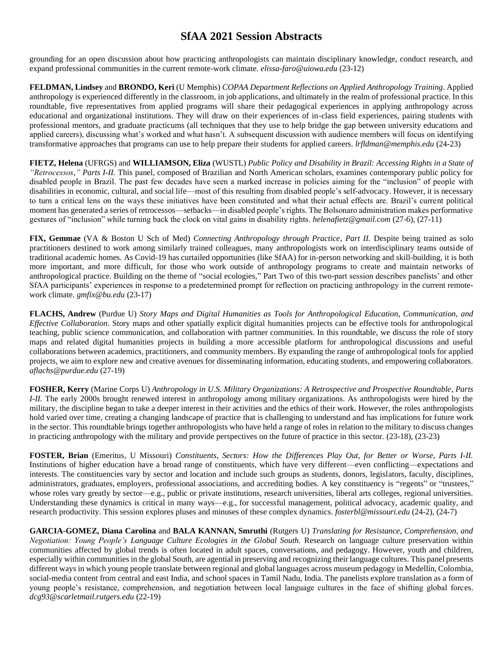grounding for an open discussion about how practicing anthropologists can maintain disciplinary knowledge, conduct research, and expand professional communities in the current remote-work climate. *elissa-faro@uiowa.edu* (23-12)

**FELDMAN, Lindsey** and **BRONDO, Keri** (U Memphis) *COPAA Department Reflections on Applied Anthropology Training*. Applied anthropology is experienced differently in the classroom, in job applications, and ultimately in the realm of professional practice. In this roundtable, five representatives from applied programs will share their pedagogical experiences in applying anthropology across educational and organizational institutions. They will draw on their experiences of in-class field experiences, pairing students with professional mentors, and graduate practicums (all techniques that they use to help bridge the gap between university educations and applied careers), discussing what's worked and what hasn't. A subsequent discussion with audience members will focus on identifying transformative approaches that programs can use to help prepare their students for applied careers. *lrfldman@memphis.edu* (24-23)

**FIETZ, Helena** (UFRGS) and **WILLIAMSON, Eliza** (WUSTL) *Public Policy and Disability in Brazil: Accessing Rights in a State of "Retrocessos," Parts I-II.* This panel, composed of Brazilian and North American scholars, examines contemporary public policy for disabled people in Brazil. The past few decades have seen a marked increase in policies aiming for the "inclusion" of people with disabilities in economic, cultural, and social life—most of this resulting from disabled people's self-advocacy. However, it is necessary to turn a critical lens on the ways these initiatives have been constituted and what their actual effects are. Brazil's current political moment has generated a series of retrocessos—setbacks—in disabled people's rights. The Bolsonaro administration makes performative gestures of "inclusion" while turning back the clock on vital gains in disability rights. *helenafietz@gmail.com* (27-6), (27-11)

**FIX, Gemmae** (VA & Boston U Sch of Med) *Connecting Anthropology through Practice, Part II.* Despite being trained as solo practitioners destined to work among similarly trained colleagues, many anthropologists work on interdisciplinary teams outside of traditional academic homes. As Covid-19 has curtailed opportunities (like SfAA) for in-person networking and skill-building, it is both more important, and more difficult, for those who work outside of anthropology programs to create and maintain networks of anthropological practice. Building on the theme of "social ecologies," Part Two of this two-part session describes panelists' and other SfAA participants' experiences in response to a predetermined prompt for reflection on practicing anthropology in the current remotework climate. *gmfix@bu.edu* (23-17)

**FLACHS, Andrew** (Purdue U) *Story Maps and Digital Humanities as Tools for Anthropological Education, Communication, and Effective Collaboration*. Story maps and other spatially explicit digital humanities projects can be effective tools for anthropological teaching, public science communication, and collaboration with partner communities. In this roundtable, we discuss the role of story maps and related digital humanities projects in building a more accessible platform for anthropological discussions and useful collaborations between academics, practitioners, and community members. By expanding the range of anthropological tools for applied projects, we aim to explore new and creative avenues for disseminating information, educating students, and empowering collaborators. *aflachs@purdue.edu* (27-19)

**FOSHER, Kerry** (Marine Corps U) *Anthropology in U.S. Military Organizations: A Retrospective and Prospective Roundtable, Parts I-II.* The early 2000s brought renewed interest in anthropology among military organizations. As anthropologists were hired by the military, the discipline began to take a deeper interest in their activities and the ethics of their work. However, the roles anthropologists hold varied over time, creating a changing landscape of practice that is challenging to understand and has implications for future work in the sector. This roundtable brings together anthropologists who have held a range of roles in relation to the military to discuss changes in practicing anthropology with the military and provide perspectives on the future of practice in this sector. (23-18), (23-23)

**FOSTER, Brian** (Emeritus, U Missouri) *Constituents, Sectors: How the Differences Play Out, for Better or Worse, Parts I-II.*  Institutions of higher education have a broad range of constituents, which have very different—even conflicting—expectations and interests. The constituencies vary by sector and location and include such groups as students, donors, legislators, faculty, disciplines, administrators, graduates, employers, professional associations, and accrediting bodies. A key constituency is "regents" or "trustees," whose roles vary greatly by sector—e.g., public or private institutions, research universities, liberal arts colleges, regional universities. Understanding these dynamics is critical in many ways—e.g., for successful management, political advocacy, academic quality, and research productivity. This session explores pluses and minuses of these complex dynamics. *fosterbl@missouri.edu* (24-2), (24-7)

**GARCIA-GOMEZ, Diana Carolina** and **BALA KANNAN, Smruthi** (Rutgers U) *Translating for Resistance, Comprehension, and Negotiation: Young People's Language Culture Ecologies in the Global South.* Research on language culture preservation within communities affected by global trends is often located in adult spaces, conversations, and pedagogy. However, youth and children, especially within communities in the global South, are agential in preserving and recognizing their language cultures. This panel presents different ways in which young people translate between regional and global languages across museum pedagogy in Medellín, Colombia, social-media content from central and east India, and school spaces in Tamil Nadu, India. The panelists explore translation as a form of young people's resistance, comprehension, and negotiation between local language cultures in the face of shifting global forces. *dcg93@scarletmail.rutgers.edu* (22-19)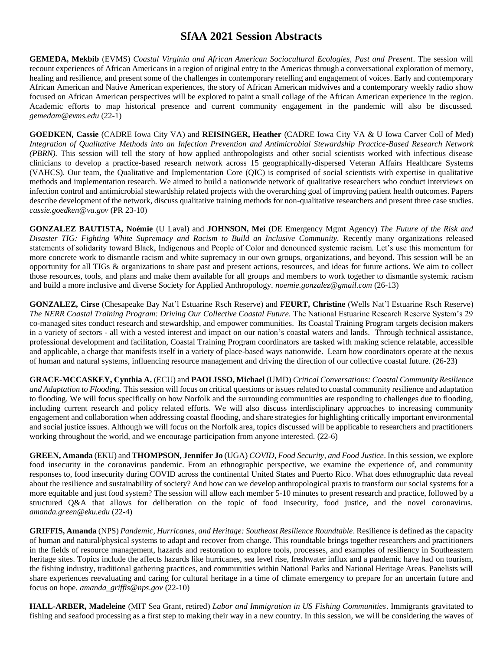**GEMEDA, Mekbib** (EVMS) *Coastal Virginia and African American Sociocultural Ecologies, Past and Present*. The session will recount experiences of African Americans in a region of original entry to the Americas through a conversational exploration of memory, healing and resilience, and present some of the challenges in contemporary retelling and engagement of voices. Early and contemporary African American and Native American experiences, the story of African American midwives and a contemporary weekly radio show focused on African American perspectives will be explored to paint a small collage of the African American experience in the region. Academic efforts to map historical presence and current community engagement in the pandemic will also be discussed. *gemedam@evms.edu* (22-1)

**GOEDKEN, Cassie** (CADRE Iowa City VA) and **REISINGER, Heather** (CADRE Iowa City VA & U Iowa Carver Coll of Med) *Integration of Qualitative Methods into an Infection Prevention and Antimicrobial Stewardship Practice-Based Research Network (PBRN).* This session will tell the story of how applied anthropologists and other social scientists worked with infectious disease clinicians to develop a practice-based research network across 15 geographically-dispersed Veteran Affairs Healthcare Systems (VAHCS). Our team, the Qualitative and Implementation Core (QIC) is comprised of social scientists with expertise in qualitative methods and implementation research. We aimed to build a nationwide network of qualitative researchers who conduct interviews on infection control and antimicrobial stewardship related projects with the overarching goal of improving patient health outcomes. Papers describe development of the network, discuss qualitative training methods for non-qualitative researchers and present three case studies. *cassie.goedken@va.gov* (PR 23-10)

**GONZALEZ BAUTISTA, Noémie** (U Laval) and **JOHNSON, Mei** (DE Emergency Mgmt Agency) *The Future of the Risk and Disaster TIG: Fighting White Supremacy and Racism to Build an Inclusive Community.* Recently many organizations released statements of solidarity toward Black, Indigenous and People of Color and denounced systemic racism. Let's use this momentum for more concrete work to dismantle racism and white supremacy in our own groups, organizations, and beyond. This session will be an opportunity for all TIGs & organizations to share past and present actions, resources, and ideas for future actions. We aim to collect those resources, tools, and plans and make them available for all groups and members to work together to dismantle systemic racism and build a more inclusive and diverse Society for Applied Anthropology. *noemie.gonzalez@gmail.com* (26-13)

**GONZALEZ, Cirse** (Chesapeake Bay Nat'l Estuarine Rsch Reserve) and **FEURT, Christine** (Wells Nat'l Estuarine Rsch Reserve) *The NERR Coastal Training Program: Driving Our Collective Coastal Future.* The National Estuarine Research Reserve System's 29 co-managed sites conduct research and stewardship, and empower communities. Its Coastal Training Program targets decision makers in a variety of sectors - all with a vested interest and impact on our nation's coastal waters and lands. Through technical assistance, professional development and facilitation, Coastal Training Program coordinators are tasked with making science relatable, accessible and applicable, a charge that manifests itself in a variety of place-based ways nationwide. Learn how coordinators operate at the nexus of human and natural systems, influencing resource management and driving the direction of our collective coastal future. (26-23)

**GRACE-MCCASKEY, Cynthia A.** (ECU) and **PAOLISSO, Michael** (UMD) *Critical Conversations: Coastal Community Resilience and Adaptation to Flooding.* This session will focus on critical questions or issues related to coastal community resilience and adaptation to flooding. We will focus specifically on how Norfolk and the surrounding communities are responding to challenges due to flooding, including current research and policy related efforts. We will also discuss interdisciplinary approaches to increasing community engagement and collaboration when addressing coastal flooding, and share strategies for highlighting critically important environmental and social justice issues. Although we will focus on the Norfolk area, topics discussed will be applicable to researchers and practitioners working throughout the world, and we encourage participation from anyone interested. (22-6)

**GREEN, Amanda** (EKU) and **THOMPSON, Jennifer Jo** (UGA) *COVID, Food Security, and Food Justice*. In this session, we explore food insecurity in the coronavirus pandemic. From an ethnographic perspective, we examine the experience of, and community responses to, food insecurity during COVID across the continental United States and Puerto Rico. What does ethnographic data reveal about the resilience and sustainability of society? And how can we develop anthropological praxis to transform our social systems for a more equitable and just food system? The session will allow each member 5-10 minutes to present research and practice, followed by a structured Q&A that allows for deliberation on the topic of food insecurity, food justice, and the novel coronavirus. *amanda.green@eku.edu* (22-4)

**GRIFFIS, Amanda** (NPS) *Pandemic, Hurricanes, and Heritage: Southeast Resilience Roundtable*. Resilience is defined as the capacity of human and natural/physical systems to adapt and recover from change. This roundtable brings together researchers and practitioners in the fields of resource management, hazards and restoration to explore tools, processes, and examples of resiliency in Southeastern heritage sites. Topics include the affects hazards like hurricanes, sea level rise, freshwater influx and a pandemic have had on tourism, the fishing industry, traditional gathering practices, and communities within National Parks and National Heritage Areas. Panelists will share experiences reevaluating and caring for cultural heritage in a time of climate emergency to prepare for an uncertain future and focus on hope. *amanda\_griffis@nps.gov* (22-10)

**HALL-ARBER, Madeleine** (MIT Sea Grant, retired) *Labor and Immigration in US Fishing Communities*. Immigrants gravitated to fishing and seafood processing as a first step to making their way in a new country. In this session, we will be considering the waves of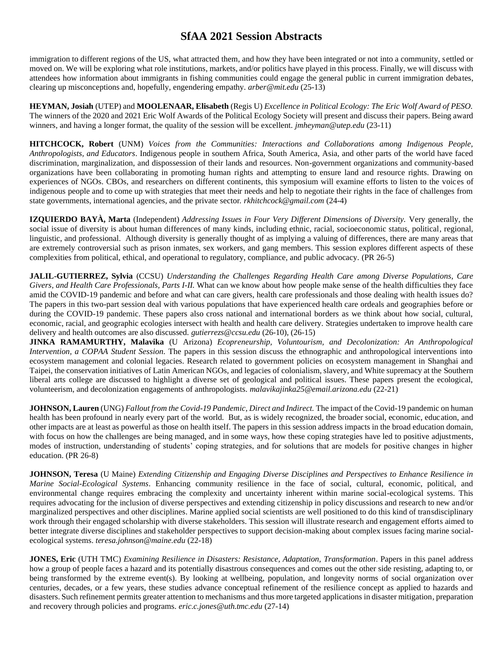immigration to different regions of the US, what attracted them, and how they have been integrated or not into a community, settled or moved on. We will be exploring what role institutions, markets, and/or politics have played in this process. Finally, we will discuss with attendees how information about immigrants in fishing communities could engage the general public in current immigration debates, clearing up misconceptions and, hopefully, engendering empathy. *arber@mit.edu* (25-13)

**HEYMAN, Josiah** (UTEP) and **MOOLENAAR, Elisabeth** (Regis U) *Excellence in Political Ecology: The Eric Wolf Award of PESO.* The winners of the 2020 and 2021 Eric Wolf Awards of the Political Ecology Society will present and discuss their papers. Being award winners, and having a longer format, the quality of the session will be excellent. *jmheyman@utep.edu* (23-11)

**HITCHCOCK, Robert** (UNM) *Voices from the Communities: Interactions and Collaborations among Indigenous People, Anthropologists, and Educators*. Indigenous people in southern Africa, South America, Asia, and other parts of the world have faced discrimination, marginalization, and dispossession of their lands and resources. Non-government organizations and community-based organizations have been collaborating in promoting human rights and attempting to ensure land and resource rights. Drawing on experiences of NGOs. CBOs, and researchers on different continents, this symposium will examine efforts to listen to the voices of indigenous people and to come up with strategies that meet their needs and help to negotiate their rights in the face of challenges from state governments, international agencies, and the private sector. *rkhitchcock@gmail.com* (24-4)

**IZQUIERDO BAYÀ, Marta** (Independent) *Addressing Issues in Four Very Different Dimensions of Diversity.* Very generally, the social issue of diversity is about human differences of many kinds, including ethnic, racial, socioeconomic status, political, regional, linguistic, and professional. Although diversity is generally thought of as implying a valuing of differences, there are many areas that are extremely controversial such as prison inmates, sex workers, and gang members. This session explores different aspects of these complexities from political, ethical, and operational to regulatory, compliance, and public advocacy. (PR 26-5)

**JALIL-GUTIERREZ, Sylvia** (CCSU) *Understanding the Challenges Regarding Health Care among Diverse Populations, Care Givers, and Health Care Professionals, Parts I-II.* What can we know about how people make sense of the health difficulties they face amid the COVID-19 pandemic and before and what can care givers, health care professionals and those dealing with health issues do? The papers in this two-part session deal with various populations that have experienced health care ordeals and geographies before or during the COVID-19 pandemic. These papers also cross national and international borders as we think about how social, cultural, economic, racial, and geographic ecologies intersect with health and health care delivery. Strategies undertaken to improve health care delivery and health outcomes are also discussed. *gutierrezs@ccsu.edu* (26-10), (26-15)

**JINKA RAMAMURTHY, Malavika** (U Arizona) *Ecopreneurship, Voluntourism, and Decolonization: An Anthropological Intervention, a COPAA Student Session.* The papers in this session discuss the ethnographic and anthropological interventions into ecosystem management and colonial legacies. Research related to government policies on ecosystem management in Shanghai and Taipei, the conservation initiatives of Latin American NGOs, and legacies of colonialism, slavery, and White supremacy at the Southern liberal arts college are discussed to highlight a diverse set of geological and political issues. These papers present the ecological, volunteerism, and decolonization engagements of anthropologists. *malavikajinka25@email.arizona.edu* (22-21)

**JOHNSON, Lauren**(UNG) *Fallout from the Covid-19 Pandemic, Direct and Indirect.* The impact of the Covid-19 pandemic on human health has been profound in nearly every part of the world. But, as is widely recognized, the broader social, economic, education, and other impacts are at least as powerful as those on health itself. The papers in this session address impacts in the broad education domain, with focus on how the challenges are being managed, and in some ways, how these coping strategies have led to positive adjustments, modes of instruction, understanding of students' coping strategies, and for solutions that are models for positive changes in higher education. (PR 26-8)

**JOHNSON, Teresa** (U Maine) *Extending Citizenship and Engaging Diverse Disciplines and Perspectives to Enhance Resilience in Marine Social-Ecological Systems*. Enhancing community resilience in the face of social, cultural, economic, political, and environmental change requires embracing the complexity and uncertainty inherent within marine social-ecological systems. This requires advocating for the inclusion of diverse perspectives and extending citizenship in policy discussions and research to new and/or marginalized perspectives and other disciplines. Marine applied social scientists are well positioned to do this kind of transdisciplinary work through their engaged scholarship with diverse stakeholders. This session will illustrate research and engagement efforts aimed to better integrate diverse disciplines and stakeholder perspectives to support decision-making about complex issues facing marine socialecological systems. *teresa.johnson@maine.edu* (22-18)

**JONES, Eric** (UTH TMC) *Examining Resilience in Disasters: Resistance, Adaptation, Transformation*. Papers in this panel address how a group of people faces a hazard and its potentially disastrous consequences and comes out the other side resisting, adapting to, or being transformed by the extreme event(s). By looking at wellbeing, population, and longevity norms of social organization over centuries, decades, or a few years, these studies advance conceptual refinement of the resilience concept as applied to hazards and disasters. Such refinement permits greater attention to mechanisms and thus more targeted applications in disaster mitigation, preparation and recovery through policies and programs. *eric.c.jones@uth.tmc.edu* (27-14)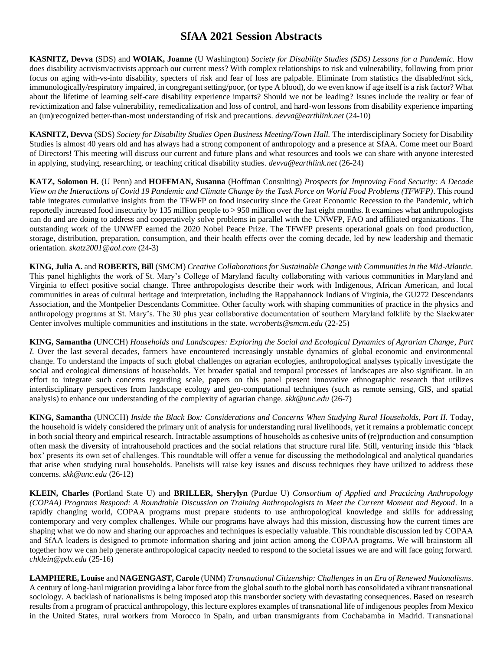**KASNITZ, Devva** (SDS) and **WOIAK, Joanne** (U Washington) *Society for Disability Studies (SDS) Lessons for a Pandemic.* How does disability activism/activists approach our current mess? With complex relationships to risk and vulnerability, following from prior focus on aging with-vs-into disability, specters of risk and fear of loss are palpable. Eliminate from statistics the disabled/not sick, immunologically/respiratory impaired, in congregant setting/poor, (or type A blood), do we even know if age itself is a risk factor? What about the lifetime of learning self-care disability experience imparts? Should we not be leading? Issues include the reality or fear of revictimization and false vulnerability, remedicalization and loss of control, and hard-won lessons from disability experience imparting an (un)recognized better-than-most understanding of risk and precautions. *devva@earthlink.net* (24-10)

**KASNITZ, Devva** (SDS) *Society for Disability Studies Open Business Meeting/Town Hall.* The interdisciplinary Society for Disability Studies is almost 40 years old and has always had a strong component of anthropology and a presence at SfAA. Come meet our Board of Directors! This meeting will discuss our current and future plans and what resources and tools we can share with anyone interested in applying, studying, researching, or teaching critical disability studies. *devva@earthlink.net* (26-24)

**KATZ, Solomon H.** (U Penn) and **HOFFMAN, Susanna** (Hoffman Consulting) *Prospects for Improving Food Security: A Decade View on the Interactions of Covid 19 Pandemic and Climate Change by the Task Force on World Food Problems (TFWFP)*. This round table integrates cumulative insights from the TFWFP on food insecurity since the Great Economic Recession to the Pandemic, which reportedly increased food insecurity by 135 million people to > 950 million over the last eight months. It examines what anthropologists can do and are doing to address and cooperatively solve problems in parallel with the UNWFP, FAO and affiliated organizations. The outstanding work of the UNWFP earned the 2020 Nobel Peace Prize. The TFWFP presents operational goals on food production, storage, distribution, preparation, consumption, and their health effects over the coming decade, led by new leadership and thematic orientation. *skatz2001@aol.com* (24-3)

**KING, Julia A.** and **ROBERTS, Bill** (SMCM) *Creative Collaborations for Sustainable Change with Communities in the Mid-Atlantic*. This panel highlights the work of St. Mary's College of Maryland faculty collaborating with various communities in Maryland and Virginia to effect positive social change. Three anthropologists describe their work with Indigenous, African American, and local communities in areas of cultural heritage and interpretation, including the Rappahannock Indians of Virginia, the GU272 Descendants Association, and the Montpelier Descendants Committee. Other faculty work with shaping communities of practice in the physics and anthropology programs at St. Mary's. The 30 plus year collaborative documentation of southern Maryland folklife by the Slackwater Center involves multiple communities and institutions in the state. *wcroberts@smcm.edu* (22-25)

**KING, Samantha** (UNCCH) *Households and Landscapes: Exploring the Social and Ecological Dynamics of Agrarian Change, Part I.* Over the last several decades, farmers have encountered increasingly unstable dynamics of global economic and environmental change. To understand the impacts of such global challenges on agrarian ecologies, anthropological analyses typically investigate the social and ecological dimensions of households. Yet broader spatial and temporal processes of landscapes are also significant. In an effort to integrate such concerns regarding scale, papers on this panel present innovative ethnographic research that utilizes interdisciplinary perspectives from landscape ecology and geo-computational techniques (such as remote sensing, GIS, and spatial analysis) to enhance our understanding of the complexity of agrarian change. *skk@unc.edu* (26-7)

**KING, Samantha** (UNCCH) *Inside the Black Box: Considerations and Concerns When Studying Rural Households*, *Part II.* Today, the household is widely considered the primary unit of analysis for understanding rural livelihoods, yet it remains a problematic concept in both social theory and empirical research. Intractable assumptions of households as cohesive units of (re)production and consumption often mask the diversity of intrahousehold practices and the social relations that structure rural life. Still, venturing inside this 'black box' presents its own set of challenges. This roundtable will offer a venue for discussing the methodological and analytical quandaries that arise when studying rural households. Panelists will raise key issues and discuss techniques they have utilized to address these concerns. *skk@unc.edu* (26-12)

**KLEIN, Charles** (Portland State U) and **BRILLER, Sherylyn** (Purdue U) *Consortium of Applied and Practicing Anthropology (COPAA) Programs Respond: A Roundtable Discussion on Training Anthropologists to Meet the Current Moment and Beyond.* In a rapidly changing world, COPAA programs must prepare students to use anthropological knowledge and skills for addressing contemporary and very complex challenges. While our programs have always had this mission, discussing how the current times are shaping what we do now and sharing our approaches and techniques is especially valuable. This roundtable discussion led by COPAA and SfAA leaders is designed to promote information sharing and joint action among the COPAA programs. We will brainstorm all together how we can help generate anthropological capacity needed to respond to the societal issues we are and will face going forward. *chklein@pdx.edu* (25-16)

**LAMPHERE, Louise** and **NAGENGAST, Carole** (UNM) *Transnational Citizenship: Challenges in an Era of Renewed Nationalisms.*  A century of long-haul migration providing a labor force from the global south to the global north has consolidated a vibrant transnational sociology. A backlash of nationalisms is being imposed atop this transborder society with devastating consequences. Based on research results from a program of practical anthropology, this lecture explores examples of transnational life of indigenous peoples from Mexico in the United States, rural workers from Morocco in Spain, and urban transmigrants from Cochabamba in Madrid. Transnational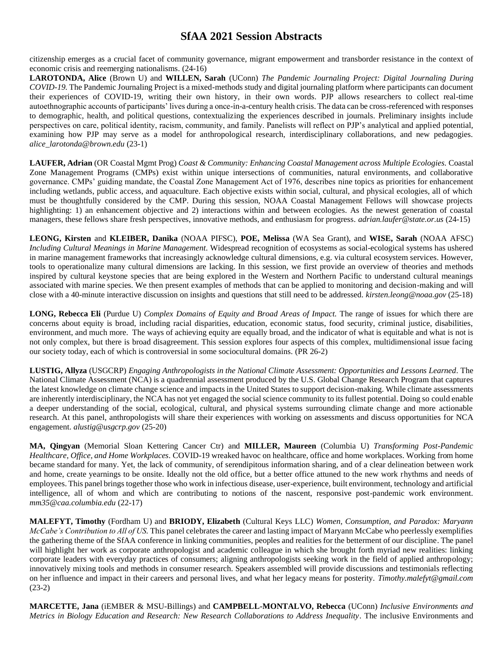citizenship emerges as a crucial facet of community governance, migrant empowerment and transborder resistance in the context of economic crisis and reemerging nationalisms. (24-16)

**LAROTONDA, Alice** (Brown U) and **WILLEN, Sarah** (UConn) *The Pandemic Journaling Project: Digital Journaling During COVID-19.* The Pandemic Journaling Project is a mixed-methods study and digital journaling platform where participants can document their experiences of COVID-19, writing their own history, in their own words. PJP allows researchers to collect real-time autoethnographic accounts of participants' lives during a once-in-a-century health crisis. The data can be cross-referenced with responses to demographic, health, and political questions, contextualizing the experiences described in journals. Preliminary insights include perspectives on care, political identity, racism, community, and family. Panelists will reflect on PJP's analytical and applied potential, examining how PJP may serve as a model for anthropological research, interdisciplinary collaborations, and new pedagogies. *alice\_larotonda@brown.edu* (23-1)

**LAUFER, Adrian** (OR Coastal Mgmt Prog) *Coast & Community: Enhancing Coastal Management across Multiple Ecologies.* Coastal Zone Management Programs (CMPs) exist within unique intersections of communities, natural environments, and collaborative governance. CMPs' guiding mandate, the Coastal Zone Management Act of 1976, describes nine topics as priorities for enhancement including wetlands, public access, and aquaculture. Each objective exists within social, cultural, and physical ecologies, all of which must be thoughtfully considered by the CMP. During this session, NOAA Coastal Management Fellows will showcase projects highlighting: 1) an enhancement objective and 2) interactions within and between ecologies. As the newest generation of coastal managers, these fellows share fresh perspectives, innovative methods, and enthusiasm for progress. *adrian.laufer@state.or.us* (24-15)

**LEONG, Kirsten** and **KLEIBER, Danika** (NOAA PIFSC), **POE, Melissa** (WA Sea Grant), and **WISE, Sarah** (NOAA AFSC) *Including Cultural Meanings in Marine Management*. Widespread recognition of ecosystems as social-ecological systems has ushered in marine management frameworks that increasingly acknowledge cultural dimensions, e.g. via cultural ecosystem services. However, tools to operationalize many cultural dimensions are lacking. In this session, we first provide an overview of theories and methods inspired by cultural keystone species that are being explored in the Western and Northern Pacific to understand cultural meanings associated with marine species. We then present examples of methods that can be applied to monitoring and decision-making and will close with a 40-minute interactive discussion on insights and questions that still need to be addressed. *kirsten.leong@noaa.gov* (25-18)

**LONG, Rebecca Eli** (Purdue U) *Complex Domains of Equity and Broad Areas of Impact.* The range of issues for which there are concerns about equity is broad, including racial disparities, education, economic status, food security, criminal justice, disabilities, environment, and much more. The ways of achieving equity are equally broad, and the indicator of what is equitable and what is not is not only complex, but there is broad disagreement. This session explores four aspects of this complex, multidimensional issue facing our society today, each of which is controversial in some sociocultural domains. (PR 26-2)

**LUSTIG, Allyza** (USGCRP) *Engaging Anthropologists in the National Climate Assessment: Opportunities and Lessons Learned.* The National Climate Assessment (NCA) is a quadrennial assessment produced by the U.S. Global Change Research Program that captures the latest knowledge on climate change science and impacts in the United States to support decision-making. While climate assessments are inherently interdisciplinary, the NCA has not yet engaged the social science community to its fullest potential. Doing so could enable a deeper understanding of the social, ecological, cultural, and physical systems surrounding climate change and more actionable research. At this panel, anthropologists will share their experiences with working on assessments and discuss opportunities for NCA engagement. *alustig@usgcrp.gov* (25-20)

**MA, Qingyan** (Memorial Sloan Kettering Cancer Ctr) and **MILLER, Maureen** (Columbia U) *Transforming Post-Pandemic Healthcare, Office, and Home Workplaces.* COVID-19 wreaked havoc on healthcare, office and home workplaces. Working from home became standard for many. Yet, the lack of community, of serendipitous information sharing, and of a clear delineation between work and home, create yearnings to be onsite. Ideally not the old office, but a better office attuned to the new work rhythms and needs of employees. This panel brings together those who work in infectious disease, user-experience, built environment, technology and artificial intelligence, all of whom and which are contributing to notions of the nascent, responsive post-pandemic work environment. *mm35@caa.columbia.edu* (22-17)

**MALEFYT, Timothy** (Fordham U) and **BRIODY, Elizabeth** (Cultural Keys LLC) *Women, Consumption, and Paradox: Maryann McCabe's Contribution to All of US.* This panel celebrates the career and lasting impact of Maryann McCabe who peerlessly exemplifies the gathering theme of the SfAA conference in linking communities, peoples and realities for the betterment of our discipline. The panel will highlight her work as corporate anthropologist and academic colleague in which she brought forth myriad new realities: linking corporate leaders with everyday practices of consumers; aligning anthropologists seeking work in the field of applied anthropology; innovatively mixing tools and methods in consumer research. Speakers assembled will provide discussions and testimonials reflecting on her influence and impact in their careers and personal lives, and what her legacy means for posterity. *Timothy.malefyt@gmail.com* (23-2)

**MARCETTE, Jana** (iEMBER & MSU-Billings) and **CAMPBELL-MONTALVO, Rebecca** (UConn) *Inclusive Environments and Metrics in Biology Education and Research: New Research Collaborations to Address Inequality*. The inclusive Environments and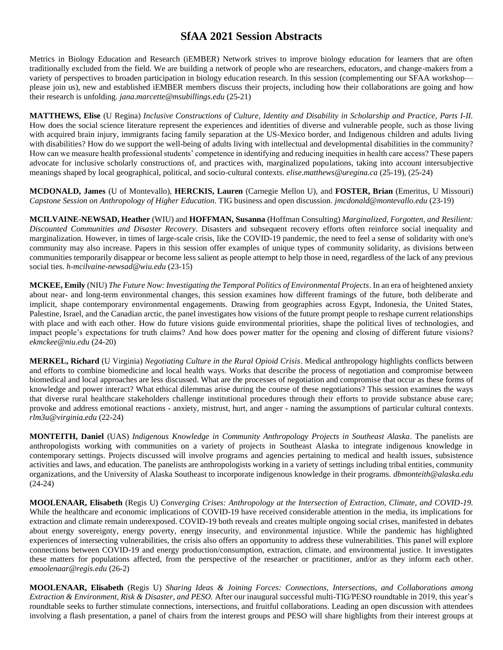Metrics in Biology Education and Research (iEMBER) Network strives to improve biology education for learners that are often traditionally excluded from the field. We are building a network of people who are researchers, educators, and change-makers from a variety of perspectives to broaden participation in biology education research. In this session (complementing our SFAA workshop please join us), new and established iEMBER members discuss their projects, including how their collaborations are going and how their research is unfolding. *jana.marcette@msubillings.edu* (25-21)

**MATTHEWS, Elise** (U Regina) *Inclusive Constructions of Culture, Identity and Disability in Scholarship and Practice, Parts I-II.*  How does the social science literature represent the experiences and identities of diverse and vulnerable people, such as those living with acquired brain injury, immigrants facing family separation at the US-Mexico border, and Indigenous children and adults living with disabilities? How do we support the well-being of adults living with intellectual and developmental disabilities in the community? How can we measure health professional students' competence in identifying and reducing inequities in health care access? These papers advocate for inclusive scholarly constructions of, and practices with, marginalized populations, taking into account intersubjective meanings shaped by local geographical, political, and socio-cultural contexts. *elise.matthews@uregina.ca* (25-19), (25-24)

**MCDONALD, James** (U of Montevallo), **HERCKIS, Lauren** (Carnegie Mellon U), and **FOSTER, Brian** (Emeritus, U Missouri) *Capstone Session on Anthropology of Higher Education.* TIG business and open discussion. *jmcdonald@montevallo.edu* (23-19)

**MCILVAINE-NEWSAD, Heather** (WIU) and **HOFFMAN, Susanna** (Hoffman Consulting) *Marginalized, Forgotten, and Resilient: Discounted Communities and Disaster Recovery.* Disasters and subsequent recovery efforts often reinforce social inequality and marginalization. However, in times of large-scale crisis, like the COVID-19 pandemic, the need to feel a sense of solidarity with one's community may also increase. Papers in this session offer examples of unique types of community solidarity, as divisions between communities temporarily disappear or become less salient as people attempt to help those in need, regardless of the lack of any previous social ties. *h-mcilvaine-newsad@wiu.edu* (23-15)

**MCKEE, Emily** (NIU) *The Future Now: Investigating the Temporal Politics of Environmental Projects*. In an era of heightened anxiety about near- and long-term environmental changes, this session examines how different framings of the future, both deliberate and implicit, shape contemporary environmental engagements. Drawing from geographies across Egypt, Indonesia, the United States, Palestine, Israel, and the Canadian arctic, the panel investigates how visions of the future prompt people to reshape current relationships with place and with each other. How do future visions guide environmental priorities, shape the political lives of technologies, and impact people's expectations for truth claims? And how does power matter for the opening and closing of different future visions? *ekmckee@niu.edu* (24-20)

**MERKEL, Richard** (U Virginia) *Negotiating Culture in the Rural Opioid Crisis*. Medical anthropology highlights conflicts between and efforts to combine biomedicine and local health ways. Works that describe the process of negotiation and compromise between biomedical and local approaches are less discussed. What are the processes of negotiation and compromise that occur as these forms of knowledge and power interact? What ethical dilemmas arise during the course of these negotiations? This session examines the ways that diverse rural healthcare stakeholders challenge institutional procedures through their efforts to provide substance abuse care; provoke and address emotional reactions - anxiety, mistrust, hurt, and anger - naming the assumptions of particular cultural contexts. *rlm3u@virginia.edu* (22-24)

**MONTEITH, Daniel** (UAS) *Indigenous Knowledge in Community Anthropology Projects in Southeast Alaska*. The panelists are anthropologists working with communities on a variety of projects in Southeast Alaska to integrate indigenous knowledge in contemporary settings. Projects discussed will involve programs and agencies pertaining to medical and health issues, subsistence activities and laws, and education. The panelists are anthropologists working in a variety of settings including tribal entities, community organizations, and the University of Alaska Southeast to incorporate indigenous knowledge in their programs. *dbmonteith@alaska.edu* (24-24)

**MOOLENAAR, Elisabeth** (Regis U) *Converging Crises: Anthropology at the Intersection of Extraction, Climate, and COVID-19.* While the healthcare and economic implications of COVID-19 have received considerable attention in the media, its implications for extraction and climate remain underexposed. COVID-19 both reveals and creates multiple ongoing social crises, manifested in debates about energy sovereignty, energy poverty, energy insecurity, and environmental injustice. While the pandemic has highlighted experiences of intersecting vulnerabilities, the crisis also offers an opportunity to address these vulnerabilities. This panel will explore connections between COVID-19 and energy production/consumption, extraction, climate, and environmental justice. It investigates these matters for populations affected, from the perspective of the researcher or practitioner, and/or as they inform each other. *emoolenaar@regis.edu* (26-2)

**MOOLENAAR, Elisabeth** (Regis U) *Sharing Ideas & Joining Forces: Connections, Intersections, and Collaborations among Extraction & Environment, Risk & Disaster, and PESO.* After our inaugural successful multi-TIG/PESO roundtable in 2019, this year's roundtable seeks to further stimulate connections, intersections, and fruitful collaborations. Leading an open discussion with attendees involving a flash presentation, a panel of chairs from the interest groups and PESO will share highlights from their interest groups at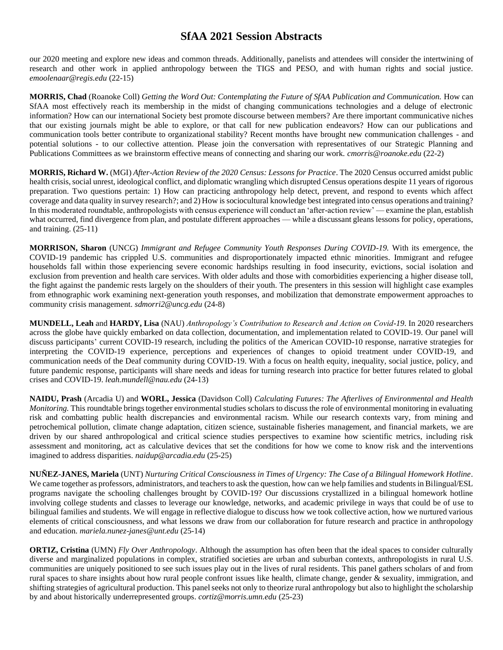our 2020 meeting and explore new ideas and common threads. Additionally, panelists and attendees will consider the intertwining of research and other work in applied anthropology between the TIGS and PESO, and with human rights and social justice. *emoolenaar@regis.edu* (22-15)

**MORRIS, Chad** (Roanoke Coll) *Getting the Word Out: Contemplating the Future of SfAA Publication and Communication.* How can SfAA most effectively reach its membership in the midst of changing communications technologies and a deluge of electronic information? How can our international Society best promote discourse between members? Are there important communicative niches that our existing journals might be able to explore, or that call for new publication endeavors? How can our publications and communication tools better contribute to organizational stability? Recent months have brought new communication challenges - and potential solutions - to our collective attention. Please join the conversation with representatives of our Strategic Planning and Publications Committees as we brainstorm effective means of connecting and sharing our work. *cmorris@roanoke.edu* (22-2)

**MORRIS, Richard W.** (MGI) *After-Action Review of the 2020 Census: Lessons for Practice*. The 2020 Census occurred amidst public health crisis, social unrest, ideological conflict, and diplomatic wrangling which disrupted Census operations despite 11 years of rigorous preparation. Two questions pertain: 1) How can practicing anthropology help detect, prevent, and respond to events which affect coverage and data quality in survey research?; and 2) How is sociocultural knowledge best integrated into census operations and training? In this moderated roundtable, anthropologists with census experience will conduct an 'after-action review' — examine the plan, establish what occurred, find divergence from plan, and postulate different approaches — while a discussant gleans lessons for policy, operations, and training. (25-11)

**MORRISON, Sharon** (UNCG) *Immigrant and Refugee Community Youth Responses During COVID-19.* With its emergence, the COVID-19 pandemic has crippled U.S. communities and disproportionately impacted ethnic minorities. Immigrant and refugee households fall within those experiencing severe economic hardships resulting in food insecurity, evictions, social isolation and exclusion from prevention and health care services. With older adults and those with comorbidities experiencing a higher disease toll, the fight against the pandemic rests largely on the shoulders of their youth. The presenters in this session will highlight case examples from ethnographic work examining next-generation youth responses, and mobilization that demonstrate empowerment approaches to community crisis management. *sdmorri2@uncg.edu* (24-8)

**MUNDELL, Leah** and **HARDY, Lisa** (NAU) *Anthropology's Contribution to Research and Action on Covid-19*. In 2020 researchers across the globe have quickly embarked on data collection, documentation, and implementation related to COVID-19. Our panel will discuss participants' current COVID-19 research, including the politics of the American COVID-10 response, narrative strategies for interpreting the COVID-19 experience, perceptions and experiences of changes to opioid treatment under COVID-19, and communication needs of the Deaf community during COVID-19. With a focus on health equity, inequality, social justice, policy, and future pandemic response, participants will share needs and ideas for turning research into practice for better futures related to global crises and COVID-19. *leah.mundell@nau.edu* (24-13)

**NAIDU, Prash** (Arcadia U) and **WORL, Jessica** (Davidson Coll) *Calculating Futures: The Afterlives of Environmental and Health Monitoring*. This roundtable brings together environmental studies scholars to discuss the role of environmental monitoring in evaluating risk and combatting public health discrepancies and environmental racism. While our research contexts vary, from mining and petrochemical pollution, climate change adaptation, citizen science, sustainable fisheries management, and financial markets, we are driven by our shared anthropological and critical science studies perspectives to examine how scientific metrics, including risk assessment and monitoring, act as calculative devices that set the conditions for how we come to know risk and the interventions imagined to address disparities. *naidup@arcadia.edu* (25-25)

**NUÑEZ-JANES, Mariela** (UNT) *Nurturing Critical Consciousness in Times of Urgency: The Case of a Bilingual Homework Hotline.*  We came together as professors, administrators, and teachers to ask the question, how can we help families and students in Bilingual/ESL programs navigate the schooling challenges brought by COVID-19? Our discussions crystallized in a bilingual homework hotline involving college students and classes to leverage our knowledge, networks, and academic privilege in ways that could be of use to bilingual families and students. We will engage in reflective dialogue to discuss how we took collective action, how we nurtured various elements of critical consciousness, and what lessons we draw from our collaboration for future research and practice in anthropology and education. *mariela.nunez-janes@unt.edu* (25-14)

**ORTIZ, Cristina** (UMN) *Fly Over Anthropology*. Although the assumption has often been that the ideal spaces to consider culturally diverse and marginalized populations in complex, stratified societies are urban and suburban contexts, anthropologists in rural U.S. communities are uniquely positioned to see such issues play out in the lives of rural residents. This panel gathers scholars of and from rural spaces to share insights about how rural people confront issues like health, climate change, gender & sexuality, immigration, and shifting strategies of agricultural production. This panel seeks not only to theorize rural anthropology but also to highlight the scholarship by and about historically underrepresented groups. *cortiz@morris.umn.edu* (25-23)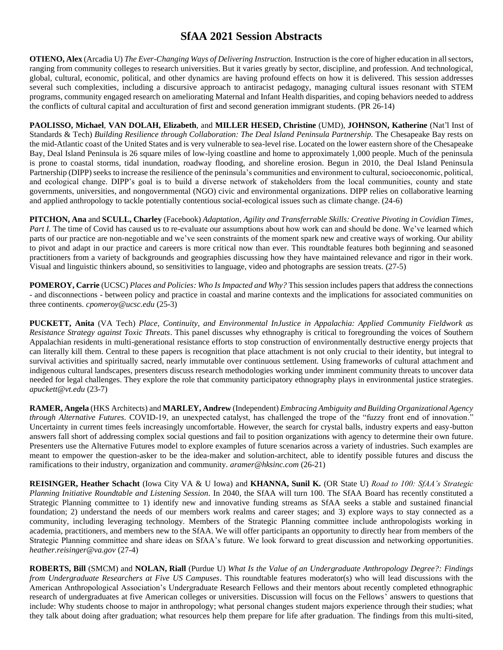**OTIENO, Alex** (Arcadia U) *The Ever-Changing Ways of Delivering Instruction.* Instruction is the core of higher education in all sectors, ranging from community colleges to research universities. But it varies greatly by sector, discipline, and profession. And technological, global, cultural, economic, political, and other dynamics are having profound effects on how it is delivered. This session addresses several such complexities, including a discursive approach to antiracist pedagogy, managing cultural issues resonant with STEM programs, community engaged research on ameliorating Maternal and Infant Health disparities, and coping behaviors needed to address the conflicts of cultural capital and acculturation of first and second generation immigrant students. (PR 26-14)

**PAOLISSO, Michael**, **VAN DOLAH, Elizabeth**, and **MILLER HESED, Christine** (UMD), **JOHNSON, Katherine** (Nat'l Inst of Standards & Tech) *Building Resilience through Collaboration: The Deal Island Peninsula Partnership*. The Chesapeake Bay rests on the mid-Atlantic coast of the United States and is very vulnerable to sea-level rise. Located on the lower eastern shore of the Chesapeake Bay, Deal Island Peninsula is 26 square miles of low-lying coastline and home to approximately 1,000 people. Much of the peninsula is prone to coastal storms, tidal inundation, roadway flooding, and shoreline erosion. Begun in 2010, the Deal Island Peninsula Partnership (DIPP) seeks to increase the resilience of the peninsula's communities and environment to cultural, socioeconomic, political, and ecological change. DIPP's goal is to build a diverse network of stakeholders from the local communities, county and state governments, universities, and nongovernmental (NGO) civic and environmental organizations. DIPP relies on collaborative learning and applied anthropology to tackle potentially contentious social-ecological issues such as climate change. (24-6)

**PITCHON, Ana** and **SCULL, Charley** (Facebook) *Adaptation, Agility and Transferrable Skills: Creative Pivoting in Covidian Times, Part I.* The time of Covid has caused us to re-evaluate our assumptions about how work can and should be done. We've learned which parts of our practice are non-negotiable and we've seen constraints of the moment spark new and creative ways of working. Our ability to pivot and adapt in our practice and careers is more critical now than ever. This roundtable features both beginning and seasoned practitioners from a variety of backgrounds and geographies discussing how they have maintained relevance and rigor in their work. Visual and linguistic thinkers abound, so sensitivities to language, video and photographs are session treats. (27-5)

**POMEROY, Carrie** (UCSC) *Places and Policies: Who Is Impacted and Why?* This session includes papers that address the connections - and disconnections - between policy and practice in coastal and marine contexts and the implications for associated communities on three continents. *cpomeroy@ucsc.edu* (25-3)

**PUCKETT, Anita** (VA Tech) *Place, Continuity, and Environmental InJustice in Appalachia: Applied Community Fieldwork as Resistance Strategy against Toxic Threats*. This panel discusses why ethnography is critical to foregrounding the voices of Southern Appalachian residents in multi-generational resistance efforts to stop construction of environmentally destructive energy projects that can literally kill them. Central to these papers is recognition that place attachment is not only crucial to their identity, but integral to survival activities and spiritually sacred, nearly immutable over continuous settlement. Using frameworks of cultural attachment and indigenous cultural landscapes, presenters discuss research methodologies working under imminent community threats to uncover data needed for legal challenges. They explore the role that community participatory ethnography plays in environmental justice strategies. *apuckett@vt.edu* (23-7)

**RAMER, Angela** (HKS Architects) and **MARLEY, Andrew** (Independent) *Embracing Ambiguity and Building Organizational Agency through Alternative Futures.* COVID-19, an unexpected catalyst, has challenged the trope of the "fuzzy front end of innovation." Uncertainty in current times feels increasingly uncomfortable. However, the search for crystal balls, industry experts and easy-button answers fall short of addressing complex social questions and fail to position organizations with agency to determine their own future. Presenters use the Alternative Futures model to explore examples of future scenarios across a variety of industries. Such examples are meant to empower the question-asker to be the idea-maker and solution-architect, able to identify possible futures and discuss the ramifications to their industry, organization and community. *aramer@hksinc.com* (26-21)

**REISINGER, Heather Schacht** (Iowa City VA & U Iowa) and **KHANNA, Sunil K.** (OR State U) *Road to 100: SfAA's Strategic Planning Initiative Roundtable and Listening Session.* In 2040, the SfAA will turn 100. The SfAA Board has recently constituted a Strategic Planning committee to 1) identify new and innovative funding streams as SfAA seeks a stable and sustained financial foundation; 2) understand the needs of our members work realms and career stages; and 3) explore ways to stay connected as a community, including leveraging technology. Members of the Strategic Planning committee include anthropologists working in academia, practitioners, and members new to the SfAA. We will offer participants an opportunity to directly hear from members of the Strategic Planning committee and share ideas on SfAA's future. We look forward to great discussion and networking opportunities. *heather.reisinger@va.gov* (27-4)

**ROBERTS, Bill** (SMCM) and **NOLAN, Riall** (Purdue U) *What Is the Value of an Undergraduate Anthropology Degree?: Findings from Undergraduate Researchers at Five US Campuses*. This roundtable features moderator(s) who will lead discussions with the American Anthropological Association's Undergraduate Research Fellows and their mentors about recently completed ethnographic research of undergraduates at five American colleges or universities. Discussion will focus on the Fellows' answers to questions that include: Why students choose to major in anthropology; what personal changes student majors experience through their studies; what they talk about doing after graduation; what resources help them prepare for life after graduation. The findings from this multi-sited,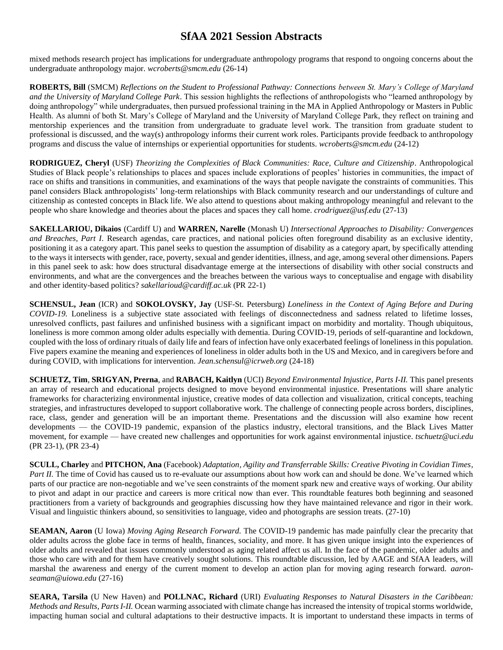mixed methods research project has implications for undergraduate anthropology programs that respond to ongoing concerns about the undergraduate anthropology major. *wcroberts@smcm.edu* (26-14)

**ROBERTS, Bill** (SMCM) *Reflections on the Student to Professional Pathway: Connections between St. Mary's College of Maryland and the University of Maryland College Park*. This session highlights the reflections of anthropologists who "learned anthropology by doing anthropology" while undergraduates, then pursued professional training in the MA in Applied Anthropology or Masters in Public Health. As alumni of both St. Mary's College of Maryland and the University of Maryland College Park, they reflect on training and mentorship experiences and the transition from undergraduate to graduate level work. The transition from graduate student to professional is discussed, and the way(s) anthropology informs their current work roles. Participants provide feedback to anthropology programs and discuss the value of internships or experiential opportunities for students. *wcroberts@smcm.edu* (24-12)

**RODRIGUEZ, Cheryl** (USF) *Theorizing the Complexities of Black Communities: Race, Culture and Citizenship*. Anthropological Studies of Black people's relationships to places and spaces include explorations of peoples' histories in communities, the impact of race on shifts and transitions in communities, and examinations of the ways that people navigate the constraints of communities. This panel considers Black anthropologists' long-term relationships with Black community research and our understandings of culture and citizenship as contested concepts in Black life. We also attend to questions about making anthropology meaningful and relevant to the people who share knowledge and theories about the places and spaces they call home. *crodriguez@usf.edu* (27-13)

**SAKELLARIOU, Dikaios** (Cardiff U) and **WARREN, Narelle** (Monash U) *Intersectional Approaches to Disability: Convergences and Breaches, Part I*. Research agendas, care practices, and national policies often foreground disability as an exclusive identity, positioning it as a category apart. This panel seeks to question the assumption of disability as a category apart, by specifically attending to the ways it intersects with gender, race, poverty, sexual and gender identities, illness, and age, among several other dimensions. Papers in this panel seek to ask: how does structural disadvantage emerge at the intersections of disability with other social constructs and environments, and what are the convergences and the breaches between the various ways to conceptualise and engage with disability and other identity-based politics? *sakellarioud@cardiff.ac.uk* (PR 22-1)

**SCHENSUL, Jean** (ICR) and **SOKOLOVSKY, Jay** (USF-St. Petersburg) *Loneliness in the Context of Aging Before and During COVID-19.* Loneliness is a subjective state associated with feelings of disconnectedness and sadness related to lifetime losses, unresolved conflicts, past failures and unfinished business with a significant impact on morbidity and mortality. Though ubiquitous, loneliness is more common among older adults especially with dementia. During COVID-19, periods of self-quarantine and lockdown, coupled with the loss of ordinary rituals of daily life and fears of infection have only exacerbated feelings of loneliness in this population. Five papers examine the meaning and experiences of loneliness in older adults both in the US and Mexico, and in caregivers before and during COVID, with implications for intervention. *Jean.schensul@icrweb.org* (24-18)

**SCHUETZ, Tim**, **SRIGYAN, Prerna**, and **RABACH, Kaitlyn** (UCI) *Beyond Environmental Injustice, Parts I-II.* This panel presents an array of research and educational projects designed to move beyond environmental injustice. Presentations will share analytic frameworks for characterizing environmental injustice, creative modes of data collection and visualization, critical concepts, teaching strategies, and infrastructures developed to support collaborative work. The challenge of connecting people across borders, disciplines, race, class, gender and generation will be an important theme. Presentations and the discussion will also examine how recent developments — the COVID-19 pandemic, expansion of the plastics industry, electoral transitions, and the Black Lives Matter movement, for example — have created new challenges and opportunities for work against environmental injustice. *tschuetz@uci.edu* (PR 23-1), (PR 23-4)

**SCULL, Charley** and **PITCHON, Ana** (Facebook) *Adaptation, Agility and Transferrable Skills: Creative Pivoting in Covidian Times, Part II.* The time of Covid has caused us to re-evaluate our assumptions about how work can and should be done. We've learned which parts of our practice are non-negotiable and we've seen constraints of the moment spark new and creative ways of working. Our ability to pivot and adapt in our practice and careers is more critical now than ever. This roundtable features both beginning and seasoned practitioners from a variety of backgrounds and geographies discussing how they have maintained relevance and rigor in their work. Visual and linguistic thinkers abound, so sensitivities to language, video and photographs are session treats. (27-10)

**SEAMAN, Aaron** (U Iowa) *Moving Aging Research Forward*. The COVID-19 pandemic has made painfully clear the precarity that older adults across the globe face in terms of health, finances, sociality, and more. It has given unique insight into the experiences of older adults and revealed that issues commonly understood as aging related affect us all. In the face of the pandemic, older adults and those who care with and for them have creatively sought solutions. This roundtable discussion, led by AAGE and SfAA leaders, will marshal the awareness and energy of the current moment to develop an action plan for moving aging research forward. *aaronseaman@uiowa.edu* (27-16)

**SEARA, Tarsila** (U New Haven) and **POLLNAC, Richard** (URI) *Evaluating Responses to Natural Disasters in the Caribbean: Methods and Results, Parts I-II.* Ocean warming associated with climate change has increased the intensity of tropical storms worldwide, impacting human social and cultural adaptations to their destructive impacts. It is important to understand these impacts in terms of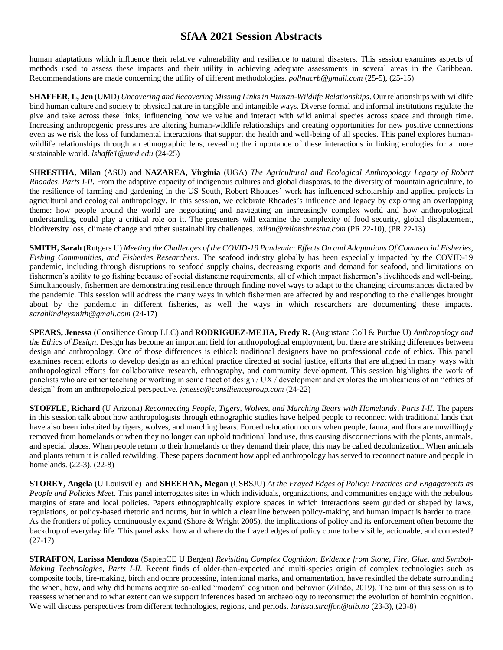human adaptations which influence their relative vulnerability and resilience to natural disasters. This session examines aspects of methods used to assess these impacts and their utility in achieving adequate assessments in several areas in the Caribbean. Recommendations are made concerning the utility of different methodologies. *pollnacrb@gmail.com* (25-5), (25-15)

**SHAFFER, L, Jen**(UMD) *Uncovering and Recovering Missing Links in Human-Wildlife Relationships*. Our relationships with wildlife bind human culture and society to physical nature in tangible and intangible ways. Diverse formal and informal institutions regulate the give and take across these links; influencing how we value and interact with wild animal species across space and through time. Increasing anthropogenic pressures are altering human-wildlife relationships and creating opportunities for new positive connections even as we risk the loss of fundamental interactions that support the health and well-being of all species. This panel explores humanwildlife relationships through an ethnographic lens, revealing the importance of these interactions in linking ecologies for a more sustainable world. *lshaffe1@umd.edu* (24-25)

**SHRESTHA, Milan** (ASU) and **NAZAREA, Virginia** (UGA) *The Agricultural and Ecological Anthropology Legacy of Robert Rhoades, Parts I-II.* From the adaptive capacity of indigenous cultures and global diasporas, to the diversity of mountain agriculture, to the resilience of farming and gardening in the US South, Robert Rhoades' work has influenced scholarship and applied projects in agricultural and ecological anthropology. In this session, we celebrate Rhoades's influence and legacy by exploring an overlapping theme: how people around the world are negotiating and navigating an increasingly complex world and how anthropological understanding could play a critical role on it. The presenters will examine the complexity of food security, global displacement, biodiversity loss, climate change and other sustainability challenges. *milan@milanshrestha.com* (PR 22-10), (PR 22-13)

**SMITH, Sarah**(Rutgers U) *Meeting the Challenges of the COVID-19 Pandemic: Effects On and Adaptations Of Commercial Fisheries, Fishing Communities, and Fisheries Researchers.* The seafood industry globally has been especially impacted by the COVID-19 pandemic, including through disruptions to seafood supply chains, decreasing exports and demand for seafood, and limitations on fishermen's ability to go fishing because of social distancing requirements, all of which impact fishermen's livelihoods and well-being. Simultaneously, fishermen are demonstrating resilience through finding novel ways to adapt to the changing circumstances dictated by the pandemic. This session will address the many ways in which fishermen are affected by and responding to the challenges brought about by the pandemic in different fisheries, as well the ways in which researchers are documenting these impacts. *sarahlindleysmith@gmail.com* (24-17)

**SPEARS, Jenessa** (Consilience Group LLC) and **RODRIGUEZ-MEJIA, Fredy R.** (Augustana Coll & Purdue U) *Anthropology and the Ethics of Design*. Design has become an important field for anthropological employment, but there are striking differences between design and anthropology. One of those differences is ethical: traditional designers have no professional code of ethics. This panel examines recent efforts to develop design as an ethical practice directed at social justice, efforts that are aligned in many ways with anthropological efforts for collaborative research, ethnography, and community development. This session highlights the work of panelists who are either teaching or working in some facet of design / UX / development and explores the implications of an "ethics of design" from an anthropological perspective. *jenessa@consiliencegroup.com* (24-22)

**STOFFLE, Richard** (U Arizona) *Reconnecting People, Tigers, Wolves, and Marching Bears with Homelands, Parts I-II.* The papers in this session talk about how anthropologists through ethnographic studies have helped people to reconnect with traditional lands that have also been inhabited by tigers, wolves, and marching bears. Forced relocation occurs when people, fauna, and flora are unwillingly removed from homelands or when they no longer can uphold traditional land use, thus causing disconnections with the plants, animals, and special places. When people return to their homelands or they demand their place, this may be called decolonization. When animals and plants return it is called re/wilding. These papers document how applied anthropology has served to reconnect nature and people in homelands. (22-3), (22-8)

**STOREY, Angela** (U Louisville) and **SHEEHAN, Megan** (CSBSJU) *At the Frayed Edges of Policy: Practices and Engagements as People and Policies Meet.* This panel interrogates sites in which individuals, organizations, and communities engage with the nebulous margins of state and local policies. Papers ethnographically explore spaces in which interactions seem guided or shaped by laws, regulations, or policy-based rhetoric and norms, but in which a clear line between policy-making and human impact is harder to trace. As the frontiers of policy continuously expand (Shore & Wright 2005), the implications of policy and its enforcement often become the backdrop of everyday life. This panel asks: how and where do the frayed edges of policy come to be visible, actionable, and contested? (27-17)

**STRAFFON, Larissa Mendoza** (SapienCE U Bergen) *Revisiting Complex Cognition: Evidence from Stone, Fire, Glue, and Symbol-Making Technologies, Parts I-II.* Recent finds of older-than-expected and multi-species origin of complex technologies such as composite tools, fire-making, birch and ochre processing, intentional marks, and ornamentation, have rekindled the debate surrounding the when, how, and why did humans acquire so-called "modern" cognition and behavior (Zilhão, 2019). The aim of this session is to reassess whether and to what extent can we support inferences based on archaeology to reconstruct the evolution of hominin cognition. We will discuss perspectives from different technologies, regions, and periods. *larissa.straffon@uib.no* (23-3), (23-8)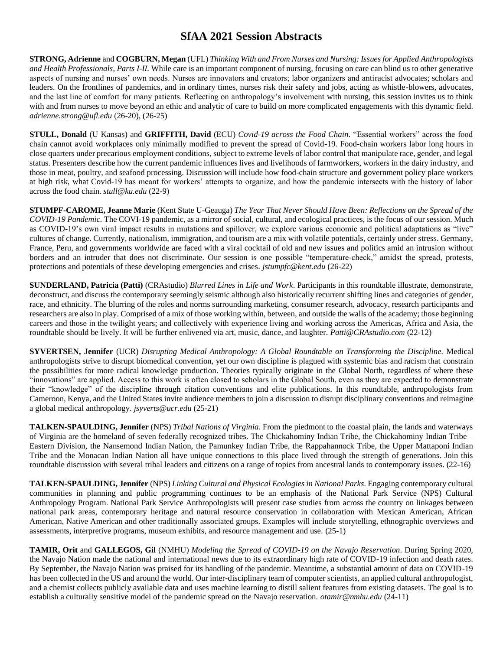**STRONG, Adrienne** and **COGBURN, Megan**(UFL) *Thinking With and From Nurses and Nursing: Issues for Applied Anthropologists and Health Professionals, Parts I-II.* While care is an important component of nursing, focusing on care can blind us to other generative aspects of nursing and nurses' own needs. Nurses are innovators and creators; labor organizers and antiracist advocates; scholars and leaders. On the frontlines of pandemics, and in ordinary times, nurses risk their safety and jobs, acting as whistle-blowers, advocates, and the last line of comfort for many patients. Reflecting on anthropology's involvement with nursing, this session invites us to think with and from nurses to move beyond an ethic and analytic of care to build on more complicated engagements with this dynamic field. *adrienne.strong@ufl.edu* (26-20), (26-25)

**STULL, Donald** (U Kansas) and **GRIFFITH, David** (ECU) *Covid-19 across the Food Chain*. "Essential workers" across the food chain cannot avoid workplaces only minimally modified to prevent the spread of Covid-19. Food-chain workers labor long hours in close quarters under precarious employment conditions, subject to extreme levels of labor control that manipulate race, gender, and legal status. Presenters describe how the current pandemic influences lives and livelihoods of farmworkers, workers in the dairy industry, and those in meat, poultry, and seafood processing. Discussion will include how food-chain structure and government policy place workers at high risk, what Covid-19 has meant for workers' attempts to organize, and how the pandemic intersects with the history of labor across the food chain. *stull@ku.edu* (22-9)

**STUMPF-CAROME, Jeanne Marie** (Kent State U-Geauga) *The Year That Never Should Have Been: Reflections on the Spread of the COVID-19 Pandemic.* The COVI-19 pandemic, as a mirror of social, cultural, and ecological practices, is the focus of our session. Much as COVID-19's own viral impact results in mutations and spillover, we explore various economic and political adaptations as "live" cultures of change. Currently, nationalism, immigration, and tourism are a mix with volatile potentials, certainly under stress. Germany, France, Peru, and governments worldwide are faced with a viral cocktail of old and new issues and politics amid an intrusion without borders and an intruder that does not discriminate. Our session is one possible "temperature-check," amidst the spread, protests, protections and potentials of these developing emergencies and crises. *jstumpfc@kent.edu* (26-22)

**SUNDERLAND, Patricia (Patti)** (CRAstudio) *Blurred Lines in Life and Work*. Participants in this roundtable illustrate, demonstrate, deconstruct, and discuss the contemporary seemingly seismic although also historically recurrent shifting lines and categories of gender, race, and ethnicity. The blurring of the roles and norms surrounding marketing, consumer research, advocacy, research participants and researchers are also in play. Comprised of a mix of those working within, between, and outside the walls of the academy; those beginning careers and those in the twilight years; and collectively with experience living and working across the Americas, Africa and Asia, the roundtable should be lively. It will be further enlivened via art, music, dance, and laughter. *Patti@CRAstudio.com* (22-12)

**SYVERTSEN, Jennifer** (UCR) *Disrupting Medical Anthropology: A Global Roundtable on Transforming the Discipline.* Medical anthropologists strive to disrupt biomedical convention, yet our own discipline is plagued with systemic bias and racism that constrain the possibilities for more radical knowledge production. Theories typically originate in the Global North, regardless of where these "innovations" are applied. Access to this work is often closed to scholars in the Global South, even as they are expected to demonstrate their "knowledge" of the discipline through citation conventions and elite publications. In this roundtable, anthropologists from Cameroon, Kenya, and the United States invite audience members to join a discussion to disrupt disciplinary conventions and reimagine a global medical anthropology. *jsyverts@ucr.edu* (25-21)

**TALKEN-SPAULDING, Jennifer** (NPS) *Tribal Nations of Virginia.* From the piedmont to the coastal plain, the lands and waterways of Virginia are the homeland of seven federally recognized tribes. The Chickahominy Indian Tribe, the Chickahominy Indian Tribe – Eastern Division, the Nansemond Indian Nation, the Pamunkey Indian Tribe, the Rappahannock Tribe, the Upper Mattaponi Indian Tribe and the Monacan Indian Nation all have unique connections to this place lived through the strength of generations. Join this roundtable discussion with several tribal leaders and citizens on a range of topics from ancestral lands to contemporary issues. (22-16)

**TALKEN-SPAULDING, Jennifer** (NPS) *Linking Cultural and Physical Ecologies in National Parks.* Engaging contemporary cultural communities in planning and public programming continues to be an emphasis of the National Park Service (NPS) Cultural Anthropology Program. National Park Service Anthropologists will present case studies from across the country on linkages between national park areas, contemporary heritage and natural resource conservation in collaboration with Mexican American, African American, Native American and other traditionally associated groups. Examples will include storytelling, ethnographic overviews and assessments, interpretive programs, museum exhibits, and resource management and use. (25-1)

**TAMIR, Orit** and **GALLEGOS, Gil** (NMHU) *Modeling the Spread of COVID-19 on the Navajo Reservation*. During Spring 2020, the Navajo Nation made the national and international news due to its extraordinary high rate of COVID-19 infection and death rates. By September, the Navajo Nation was praised for its handling of the pandemic. Meantime, a substantial amount of data on COVID-19 has been collected in the US and around the world. Our inter-disciplinary team of computer scientists, an applied cultural anthropologist, and a chemist collects publicly available data and uses machine learning to distill salient features from existing datasets. The goal is to establish a culturally sensitive model of the pandemic spread on the Navajo reservation. *otamir@nmhu.edu* (24-11)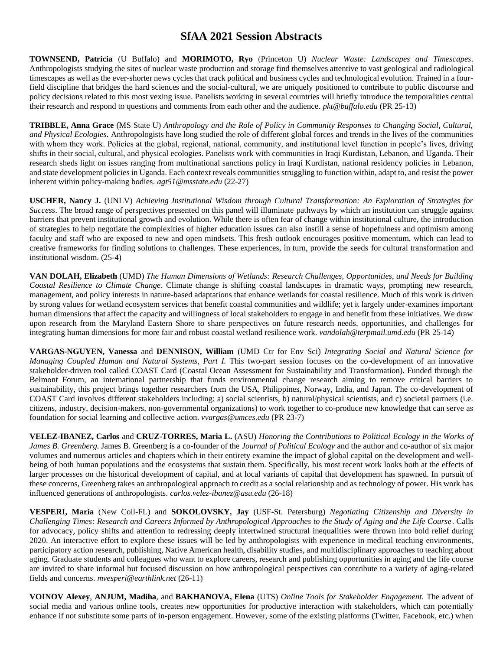**TOWNSEND, Patricia** (U Buffalo) and **MORIMOTO, Ryo** (Princeton U) *Nuclear Waste: Landscapes and Timescapes.*  Anthropologists studying the sites of nuclear waste production and storage find themselves attentive to vast geological and radiological timescapes as well as the ever-shorter news cycles that track political and business cycles and technological evolution. Trained in a fourfield discipline that bridges the hard sciences and the social-cultural, we are uniquely positioned to contribute to public discourse and policy decisions related to this most vexing issue. Panelists working in several countries will briefly introduce the temporalities central their research and respond to questions and comments from each other and the audience. *pkt@buffalo.edu* (PR 25-13)

**TRIBBLE, Anna Grace** (MS State U) *Anthropology and the Role of Policy in Community Responses to Changing Social, Cultural, and Physical Ecologies.* Anthropologists have long studied the role of different global forces and trends in the lives of the communities with whom they work. Policies at the global, regional, national, community, and institutional level function in people's lives, driving shifts in their social, cultural, and physical ecologies. Panelists work with communities in Iraqi Kurdistan, Lebanon, and Uganda. Their research sheds light on issues ranging from multinational sanctions policy in Iraqi Kurdistan, national residency policies in Lebanon, and state development policies in Uganda. Each context reveals communities struggling to function within, adapt to, and resist the power inherent within policy-making bodies. *agt51@msstate.edu* (22-27)

**USCHER, Nancy J.** (UNLV) *Achieving Institutional Wisdom through Cultural Transformation: An Exploration of Strategies for Success*. The broad range of perspectives presented on this panel will illuminate pathways by which an institution can struggle against barriers that prevent institutional growth and evolution. While there is often fear of change within institutional culture, the introduction of strategies to help negotiate the complexities of higher education issues can also instill a sense of hopefulness and optimism among faculty and staff who are exposed to new and open mindsets. This fresh outlook encourages positive momentum, which can lead to creative frameworks for finding solutions to challenges. These experiences, in turn, provide the seeds for cultural transformation and institutional wisdom. (25-4)

**VAN DOLAH, Elizabeth** (UMD) *The Human Dimensions of Wetlands: Research Challenges, Opportunities, and Needs for Building Coastal Resilience to Climate Change*. Climate change is shifting coastal landscapes in dramatic ways, prompting new research, management, and policy interests in nature-based adaptations that enhance wetlands for coastal resilience. Much of this work is driven by strong values for wetland ecosystem services that benefit coastal communities and wildlife; yet it largely under-examines important human dimensions that affect the capacity and willingness of local stakeholders to engage in and benefit from these initiatives. We draw upon research from the Maryland Eastern Shore to share perspectives on future research needs, opportunities, and challenges for integrating human dimensions for more fair and robust coastal wetland resilience work. *vandolah@terpmail.umd.edu* (PR 25-14)

**VARGAS-NGUYEN, Vanessa** and **DENNISON, William** (UMD Ctr for Env Sci) *Integrating Social and Natural Science for Managing Coupled Human and Natural Systems, Part I.* This two-part session focuses on the co-development of an innovative stakeholder-driven tool called COAST Card (Coastal Ocean Assessment for Sustainability and Transformation). Funded through the Belmont Forum, an international partnership that funds environmental change research aiming to remove critical barriers to sustainability, this project brings together researchers from the USA, Philippines, Norway, India, and Japan. The co-development of COAST Card involves different stakeholders including: a) social scientists, b) natural/physical scientists, and c) societal partners (i.e. citizens, industry, decision-makers, non-governmental organizations) to work together to co-produce new knowledge that can serve as foundation for social learning and collective action. *vvargas@umces.edu* (PR 23-7)

**VELEZ-IBANEZ, Carlos** and **CRUZ-TORRES, Maria L.** (ASU) *Honoring the Contributions to Political Ecology in the Works of James B. Greenberg.* James B. Greenberg is a co-founder of the *Journal of Political Ecology* and the author and co-author of six major volumes and numerous articles and chapters which in their entirety examine the impact of global capital on the development and wellbeing of both human populations and the ecosystems that sustain them. Specifically, his most recent work looks both at the effects of larger processes on the historical development of capital, and at local variants of capital that development has spawned. In pursuit of these concerns, Greenberg takes an anthropological approach to credit as a social relationship and as technology of power. His work has influenced generations of anthropologists. *carlos.velez-ibanez@asu.edu* (26-18)

**VESPERI, Maria** (New Coll-FL) and **SOKOLOVSKY, Jay** (USF-St. Petersburg) *Negotiating Citizenship and Diversity in Challenging Times: Research and Careers Informed by Anthropological Approaches to the Study of Aging and the Life Course*. Calls for advocacy, policy shifts and attention to redressing deeply intertwined structural inequalities were thrown into bold relief during 2020. An interactive effort to explore these issues will be led by anthropologists with experience in medical teaching environments, participatory action research, publishing, Native American health, disability studies, and multidisciplinary approaches to teaching about aging. Graduate students and colleagues who want to explore careers, research and publishing opportunities in aging and the life course are invited to share informal but focused discussion on how anthropological perspectives can contribute to a variety of aging-related fields and concerns. *mvesperi@earthlink.net* (26-11)

**VOINOV Alexey**, **ANJUM, Madiha**, and **BAKHANOVA, Elena** (UTS) *Online Tools for Stakeholder Engagement.* The advent of social media and various online tools, creates new opportunities for productive interaction with stakeholders, which can potentially enhance if not substitute some parts of in-person engagement. However, some of the existing platforms (Twitter, Facebook, etc.) when